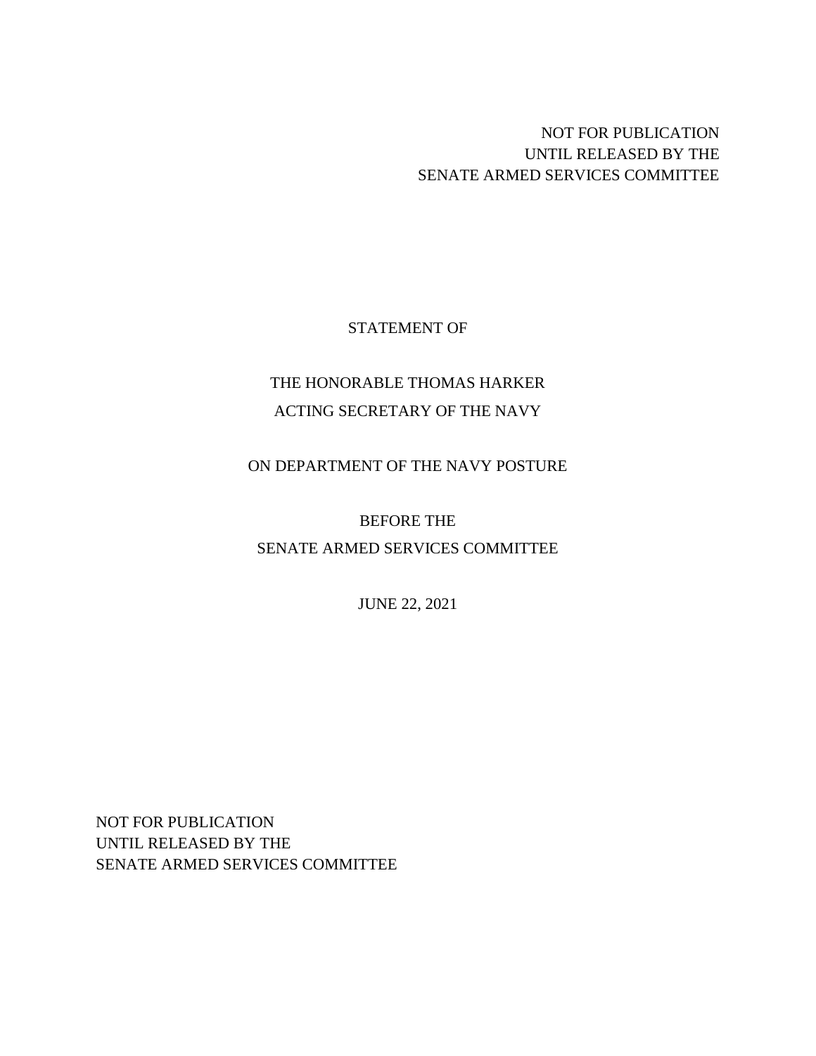# NOT FOR PUBLICATION UNTIL RELEASED BY THE SENATE ARMED SERVICES COMMITTEE

### STATEMENT OF

# THE HONORABLE THOMAS HARKER ACTING SECRETARY OF THE NAVY

### ON DEPARTMENT OF THE NAVY POSTURE

# BEFORE THE

## SENATE ARMED SERVICES COMMITTEE

JUNE 22, 2021

NOT FOR PUBLICATION UNTIL RELEASED BY THE SENATE ARMED SERVICES COMMITTEE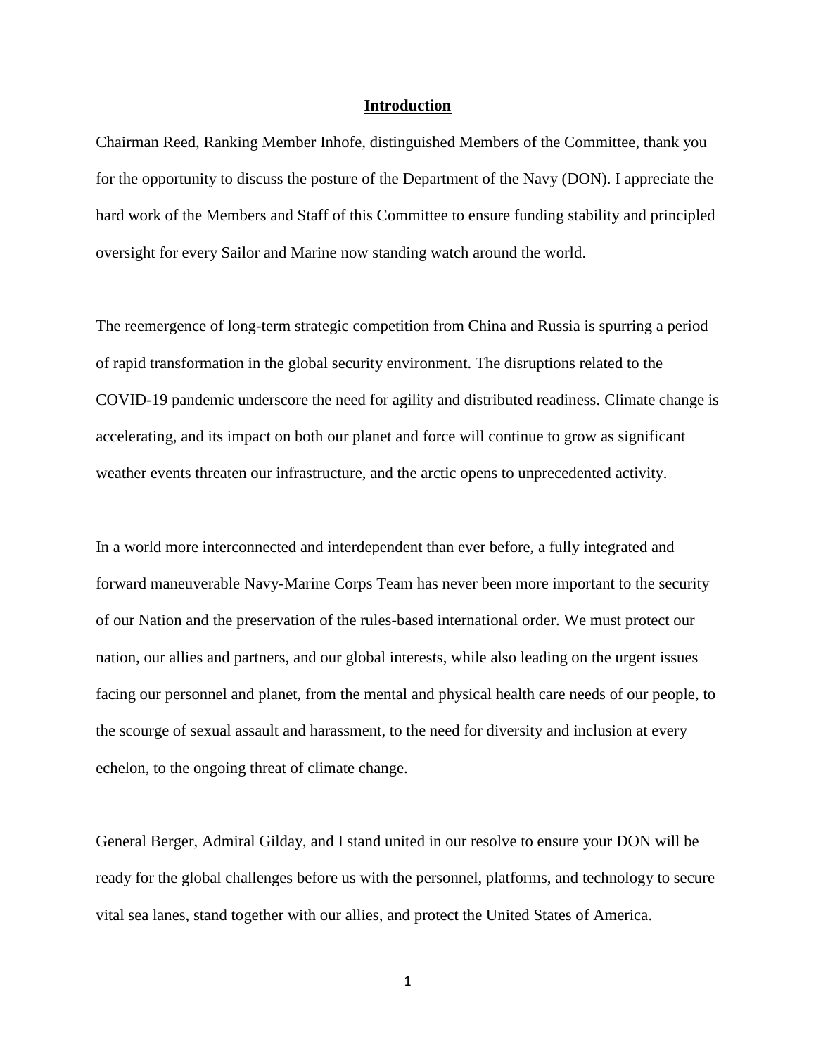#### **Introduction**

Chairman Reed, Ranking Member Inhofe, distinguished Members of the Committee, thank you for the opportunity to discuss the posture of the Department of the Navy (DON). I appreciate the hard work of the Members and Staff of this Committee to ensure funding stability and principled oversight for every Sailor and Marine now standing watch around the world.

The reemergence of long-term strategic competition from China and Russia is spurring a period of rapid transformation in the global security environment. The disruptions related to the COVID-19 pandemic underscore the need for agility and distributed readiness. Climate change is accelerating, and its impact on both our planet and force will continue to grow as significant weather events threaten our infrastructure, and the arctic opens to unprecedented activity.

In a world more interconnected and interdependent than ever before, a fully integrated and forward maneuverable Navy-Marine Corps Team has never been more important to the security of our Nation and the preservation of the rules-based international order. We must protect our nation, our allies and partners, and our global interests, while also leading on the urgent issues facing our personnel and planet, from the mental and physical health care needs of our people, to the scourge of sexual assault and harassment, to the need for diversity and inclusion at every echelon, to the ongoing threat of climate change.

General Berger, Admiral Gilday, and I stand united in our resolve to ensure your DON will be ready for the global challenges before us with the personnel, platforms, and technology to secure vital sea lanes, stand together with our allies, and protect the United States of America.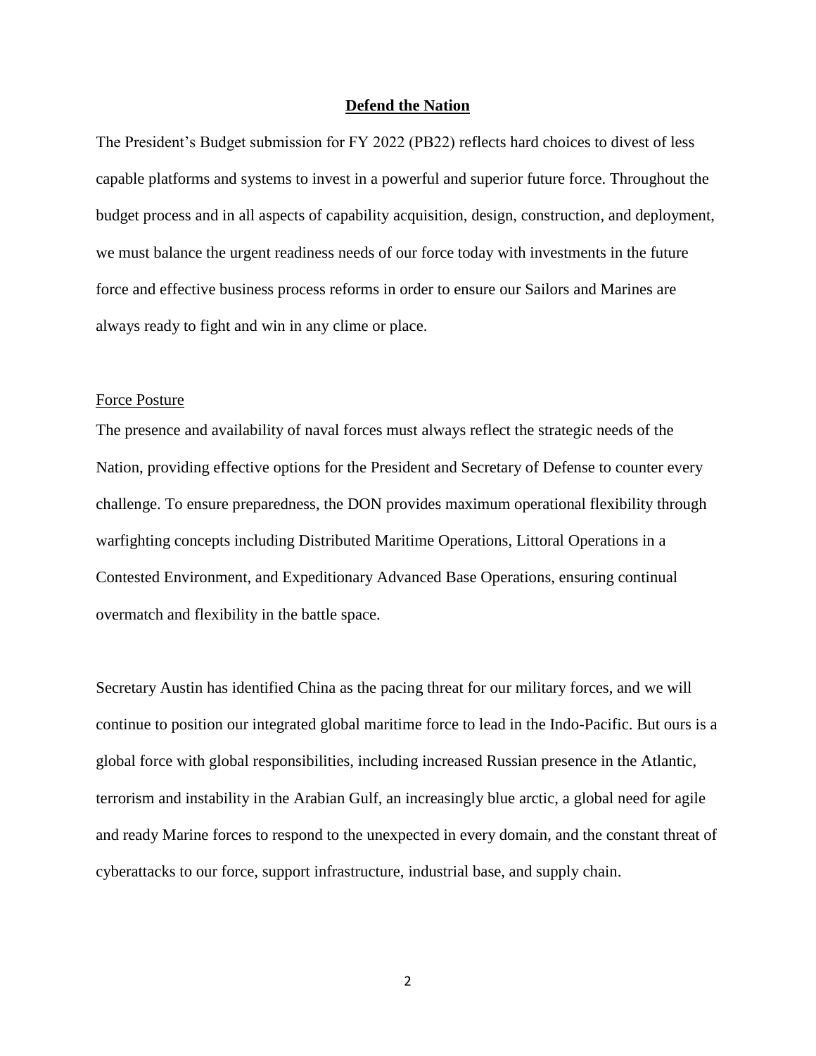#### **Defend the Nation**

The President's Budget submission for FY 2022 (PB22) reflects hard choices to divest of less capable platforms and systems to invest in a powerful and superior future force. Throughout the budget process and in all aspects of capability acquisition, design, construction, and deployment, we must balance the urgent readiness needs of our force today with investments in the future force and effective business process reforms in order to ensure our Sailors and Marines are always ready to fight and win in any clime or place.

#### Force Posture

The presence and availability of naval forces must always reflect the strategic needs of the Nation, providing effective options for the President and Secretary of Defense to counter every challenge. To ensure preparedness, the DON provides maximum operational flexibility through warfighting concepts including Distributed Maritime Operations, Littoral Operations in a Contested Environment, and Expeditionary Advanced Base Operations, ensuring continual overmatch and flexibility in the battle space.

Secretary Austin has identified China as the pacing threat for our military forces, and we will continue to position our integrated global maritime force to lead in the Indo-Pacific. But ours is a global force with global responsibilities, including increased Russian presence in the Atlantic, terrorism and instability in the Arabian Gulf, an increasingly blue arctic, a global need for agile and ready Marine forces to respond to the unexpected in every domain, and the constant threat of cyberattacks to our force, support infrastructure, industrial base, and supply chain.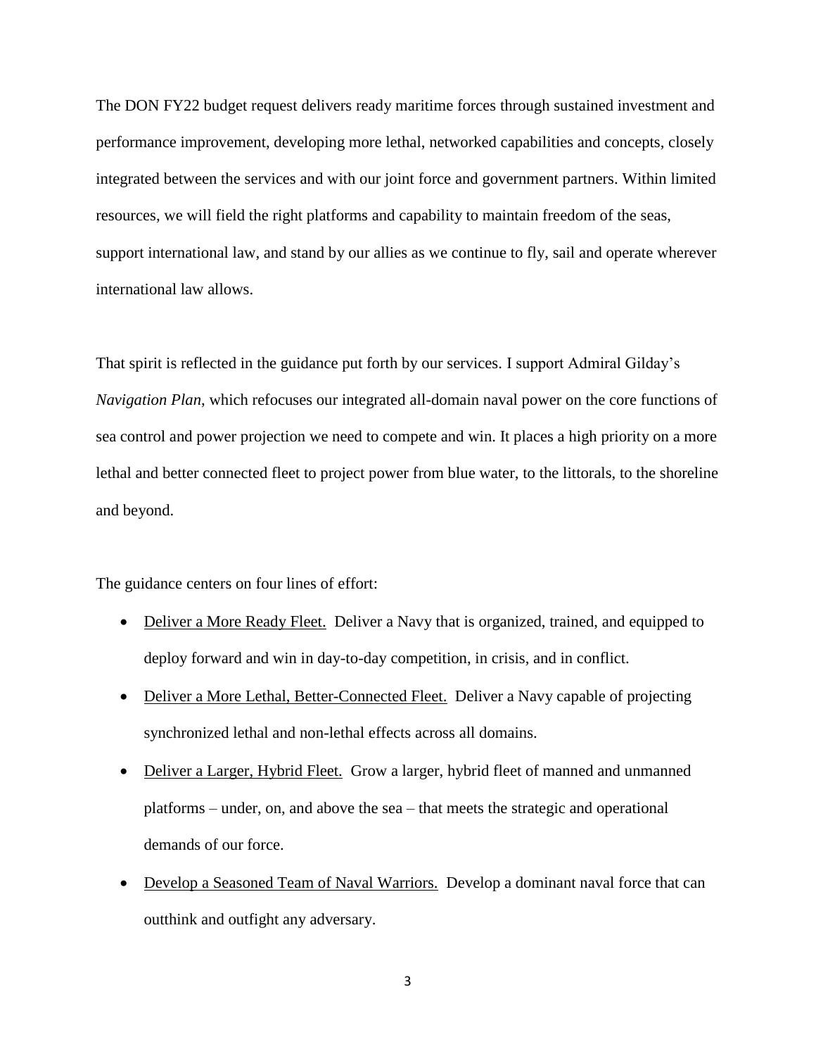The DON FY22 budget request delivers ready maritime forces through sustained investment and performance improvement, developing more lethal, networked capabilities and concepts, closely integrated between the services and with our joint force and government partners. Within limited resources, we will field the right platforms and capability to maintain freedom of the seas, support international law, and stand by our allies as we continue to fly, sail and operate wherever international law allows.

That spirit is reflected in the guidance put forth by our services. I support Admiral Gilday's *Navigation Plan*, which refocuses our integrated all-domain naval power on the core functions of sea control and power projection we need to compete and win. It places a high priority on a more lethal and better connected fleet to project power from blue water, to the littorals, to the shoreline and beyond.

The guidance centers on four lines of effort:

- Deliver a More Ready Fleet. Deliver a Navy that is organized, trained, and equipped to deploy forward and win in day-to-day competition, in crisis, and in conflict.
- Deliver a More Lethal, Better-Connected Fleet. Deliver a Navy capable of projecting synchronized lethal and non-lethal effects across all domains.
- Deliver a Larger, Hybrid Fleet. Grow a larger, hybrid fleet of manned and unmanned platforms – under, on, and above the sea – that meets the strategic and operational demands of our force.
- Develop a Seasoned Team of Naval Warriors. Develop a dominant naval force that can outthink and outfight any adversary.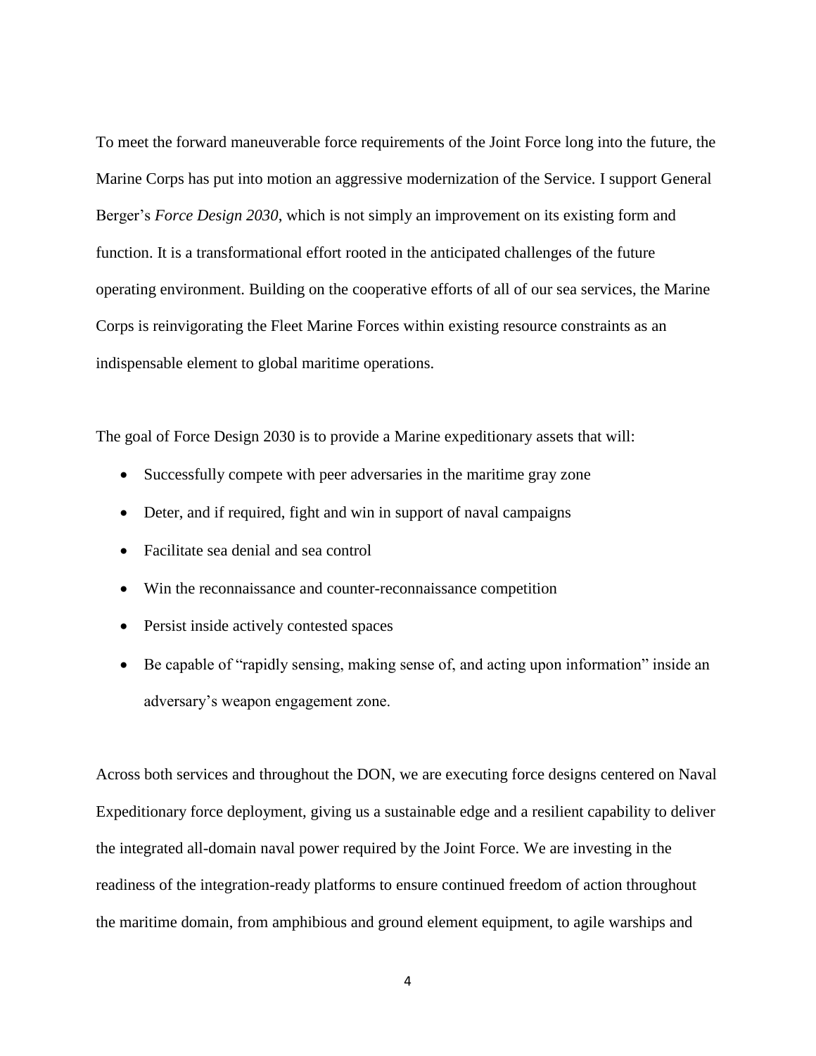To meet the forward maneuverable force requirements of the Joint Force long into the future, the Marine Corps has put into motion an aggressive modernization of the Service. I support General Berger's *Force Design 2030*, which is not simply an improvement on its existing form and function. It is a transformational effort rooted in the anticipated challenges of the future operating environment. Building on the cooperative efforts of all of our sea services, the Marine Corps is reinvigorating the Fleet Marine Forces within existing resource constraints as an indispensable element to global maritime operations.

The goal of Force Design 2030 is to provide a Marine expeditionary assets that will:

- Successfully compete with peer adversaries in the maritime gray zone
- Deter, and if required, fight and win in support of naval campaigns
- Facilitate sea denial and sea control
- Win the reconnaissance and counter-reconnaissance competition
- Persist inside actively contested spaces
- Be capable of "rapidly sensing, making sense of, and acting upon information" inside an adversary's weapon engagement zone.

Across both services and throughout the DON, we are executing force designs centered on Naval Expeditionary force deployment, giving us a sustainable edge and a resilient capability to deliver the integrated all-domain naval power required by the Joint Force. We are investing in the readiness of the integration-ready platforms to ensure continued freedom of action throughout the maritime domain, from amphibious and ground element equipment, to agile warships and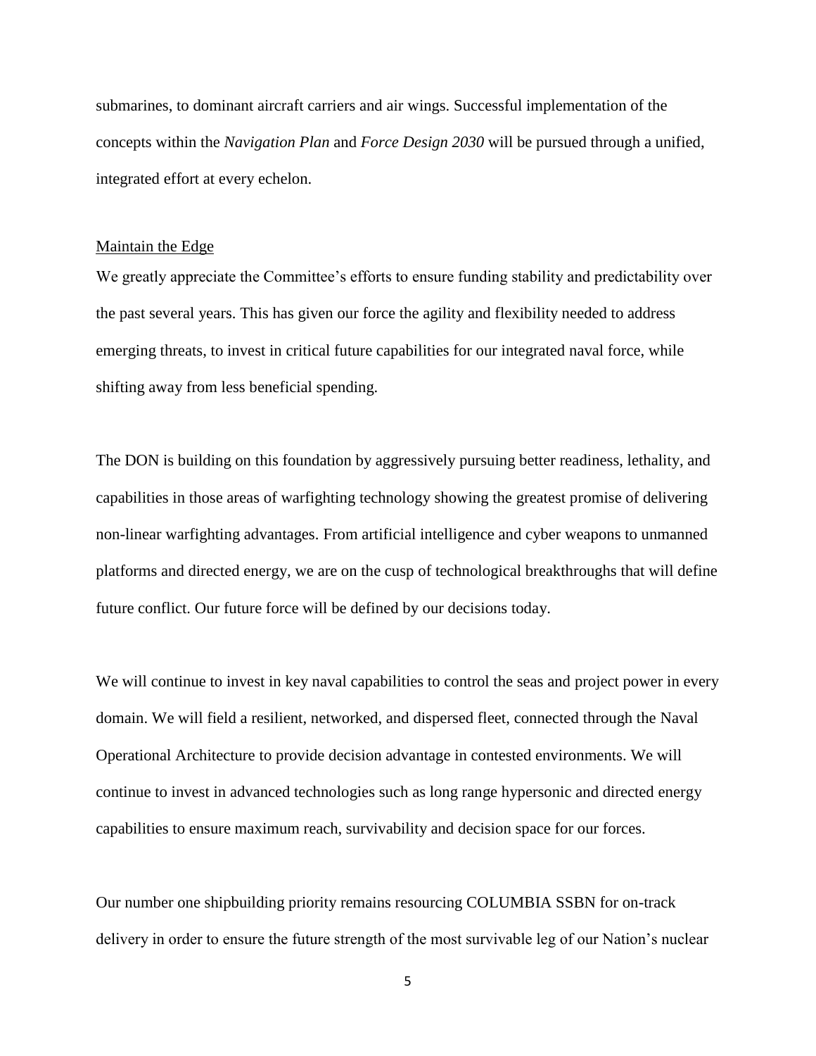submarines, to dominant aircraft carriers and air wings. Successful implementation of the concepts within the *Navigation Plan* and *Force Design 2030* will be pursued through a unified, integrated effort at every echelon.

#### Maintain the Edge

We greatly appreciate the Committee's efforts to ensure funding stability and predictability over the past several years. This has given our force the agility and flexibility needed to address emerging threats, to invest in critical future capabilities for our integrated naval force, while shifting away from less beneficial spending.

The DON is building on this foundation by aggressively pursuing better readiness, lethality, and capabilities in those areas of warfighting technology showing the greatest promise of delivering non-linear warfighting advantages. From artificial intelligence and cyber weapons to unmanned platforms and directed energy, we are on the cusp of technological breakthroughs that will define future conflict. Our future force will be defined by our decisions today.

We will continue to invest in key naval capabilities to control the seas and project power in every domain. We will field a resilient, networked, and dispersed fleet, connected through the Naval Operational Architecture to provide decision advantage in contested environments. We will continue to invest in advanced technologies such as long range hypersonic and directed energy capabilities to ensure maximum reach, survivability and decision space for our forces.

Our number one shipbuilding priority remains resourcing COLUMBIA SSBN for on-track delivery in order to ensure the future strength of the most survivable leg of our Nation's nuclear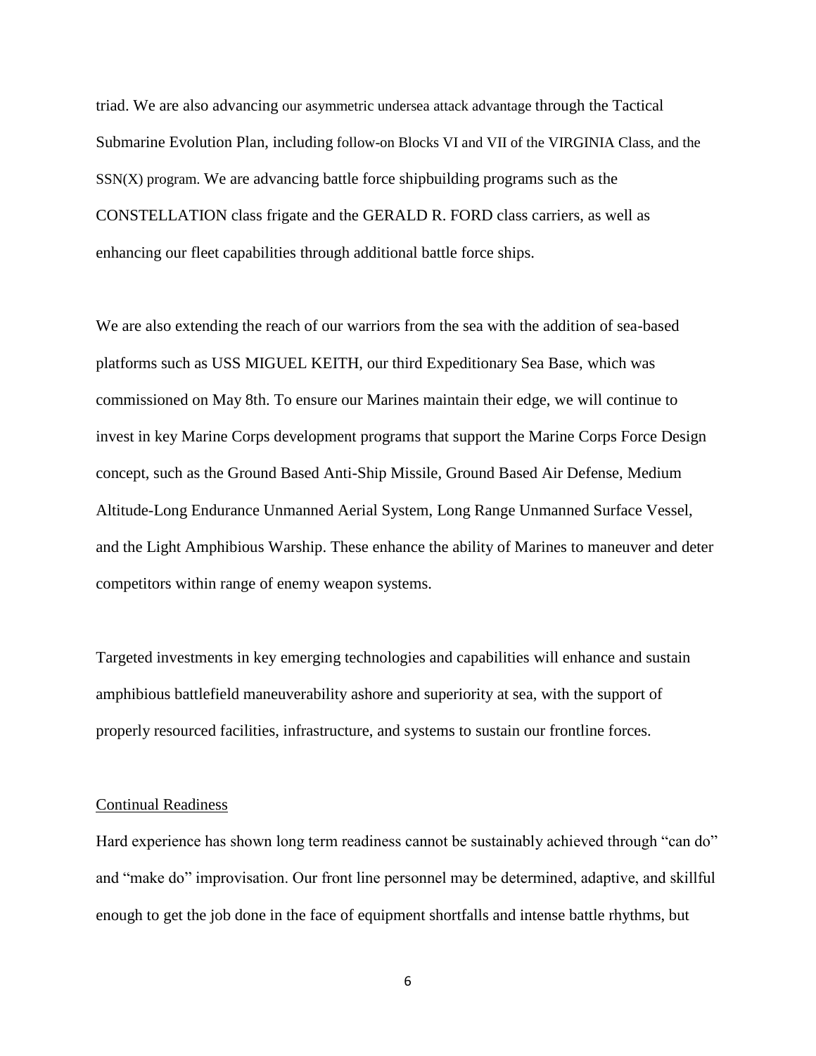triad. We are also advancing our asymmetric undersea attack advantage through the Tactical Submarine Evolution Plan, including follow-on Blocks VI and VII of the VIRGINIA Class, and the  $SSN(X)$  program. We are advancing battle force shipbuilding programs such as the CONSTELLATION class frigate and the GERALD R. FORD class carriers, as well as enhancing our fleet capabilities through additional battle force ships.

We are also extending the reach of our warriors from the sea with the addition of sea-based platforms such as USS MIGUEL KEITH, our third Expeditionary Sea Base, which was commissioned on May 8th. To ensure our Marines maintain their edge, we will continue to invest in key Marine Corps development programs that support the Marine Corps Force Design concept, such as the Ground Based Anti-Ship Missile, Ground Based Air Defense, Medium Altitude-Long Endurance Unmanned Aerial System, Long Range Unmanned Surface Vessel, and the Light Amphibious Warship. These enhance the ability of Marines to maneuver and deter competitors within range of enemy weapon systems.

Targeted investments in key emerging technologies and capabilities will enhance and sustain amphibious battlefield maneuverability ashore and superiority at sea, with the support of properly resourced facilities, infrastructure, and systems to sustain our frontline forces.

#### Continual Readiness

Hard experience has shown long term readiness cannot be sustainably achieved through "can do" and "make do" improvisation. Our front line personnel may be determined, adaptive, and skillful enough to get the job done in the face of equipment shortfalls and intense battle rhythms, but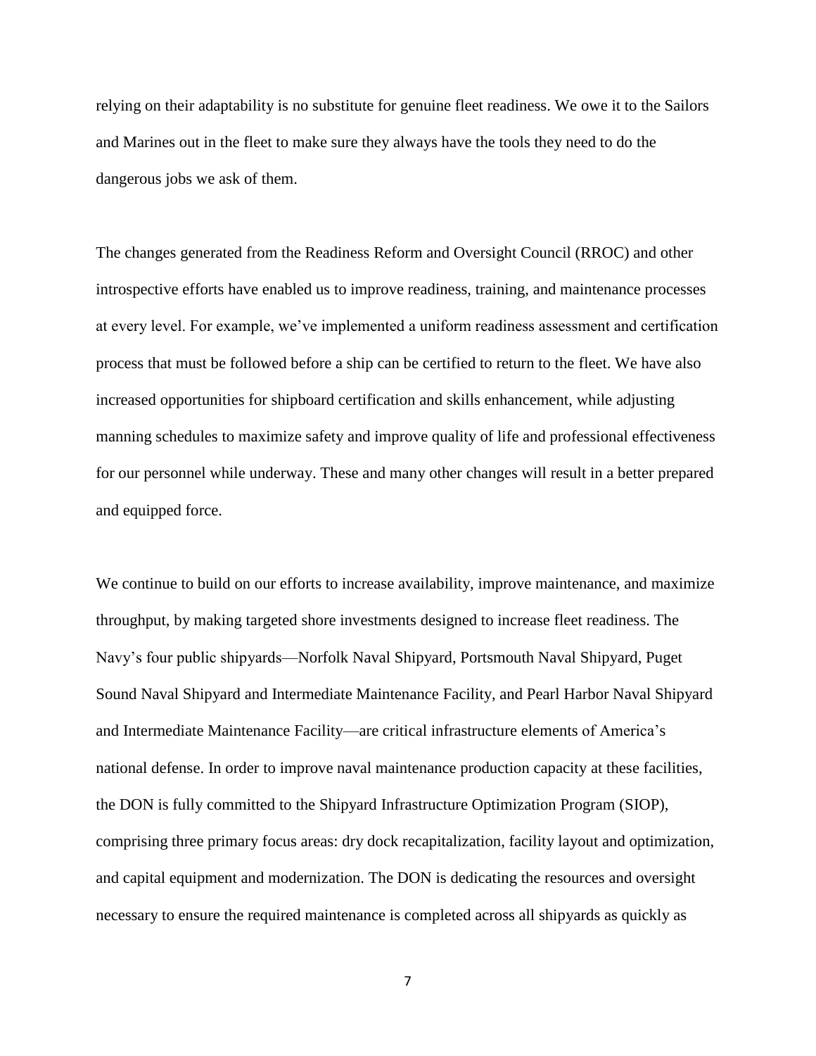relying on their adaptability is no substitute for genuine fleet readiness. We owe it to the Sailors and Marines out in the fleet to make sure they always have the tools they need to do the dangerous jobs we ask of them.

The changes generated from the Readiness Reform and Oversight Council (RROC) and other introspective efforts have enabled us to improve readiness, training, and maintenance processes at every level. For example, we've implemented a uniform readiness assessment and certification process that must be followed before a ship can be certified to return to the fleet. We have also increased opportunities for shipboard certification and skills enhancement, while adjusting manning schedules to maximize safety and improve quality of life and professional effectiveness for our personnel while underway. These and many other changes will result in a better prepared and equipped force.

We continue to build on our efforts to increase availability, improve maintenance, and maximize throughput, by making targeted shore investments designed to increase fleet readiness. The Navy's four public shipyards—Norfolk Naval Shipyard, Portsmouth Naval Shipyard, Puget Sound Naval Shipyard and Intermediate Maintenance Facility, and Pearl Harbor Naval Shipyard and Intermediate Maintenance Facility—are critical infrastructure elements of America's national defense. In order to improve naval maintenance production capacity at these facilities, the DON is fully committed to the Shipyard Infrastructure Optimization Program (SIOP), comprising three primary focus areas: dry dock recapitalization, facility layout and optimization, and capital equipment and modernization. The DON is dedicating the resources and oversight necessary to ensure the required maintenance is completed across all shipyards as quickly as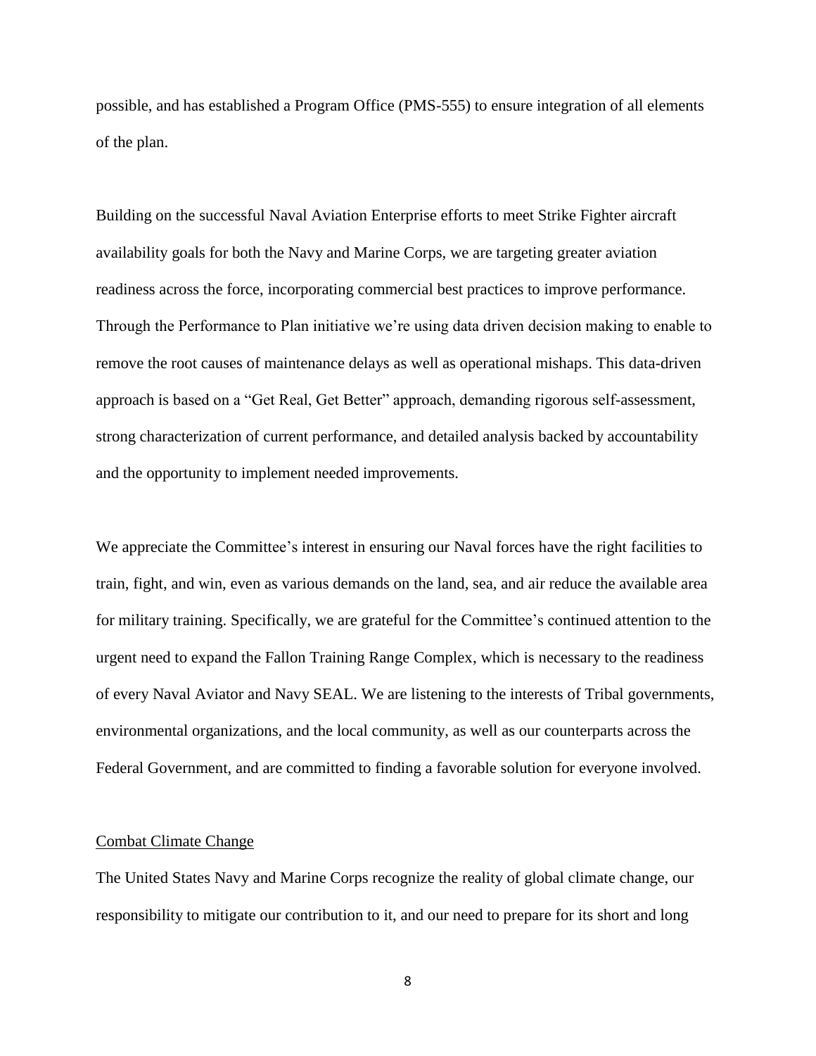possible, and has established a Program Office (PMS-555) to ensure integration of all elements of the plan.

Building on the successful Naval Aviation Enterprise efforts to meet Strike Fighter aircraft availability goals for both the Navy and Marine Corps, we are targeting greater aviation readiness across the force, incorporating commercial best practices to improve performance. Through the Performance to Plan initiative we're using data driven decision making to enable to remove the root causes of maintenance delays as well as operational mishaps. This data-driven approach is based on a "Get Real, Get Better" approach, demanding rigorous self-assessment, strong characterization of current performance, and detailed analysis backed by accountability and the opportunity to implement needed improvements.

We appreciate the Committee's interest in ensuring our Naval forces have the right facilities to train, fight, and win, even as various demands on the land, sea, and air reduce the available area for military training. Specifically, we are grateful for the Committee's continued attention to the urgent need to expand the Fallon Training Range Complex, which is necessary to the readiness of every Naval Aviator and Navy SEAL. We are listening to the interests of Tribal governments, environmental organizations, and the local community, as well as our counterparts across the Federal Government, and are committed to finding a favorable solution for everyone involved.

#### Combat Climate Change

The United States Navy and Marine Corps recognize the reality of global climate change, our responsibility to mitigate our contribution to it, and our need to prepare for its short and long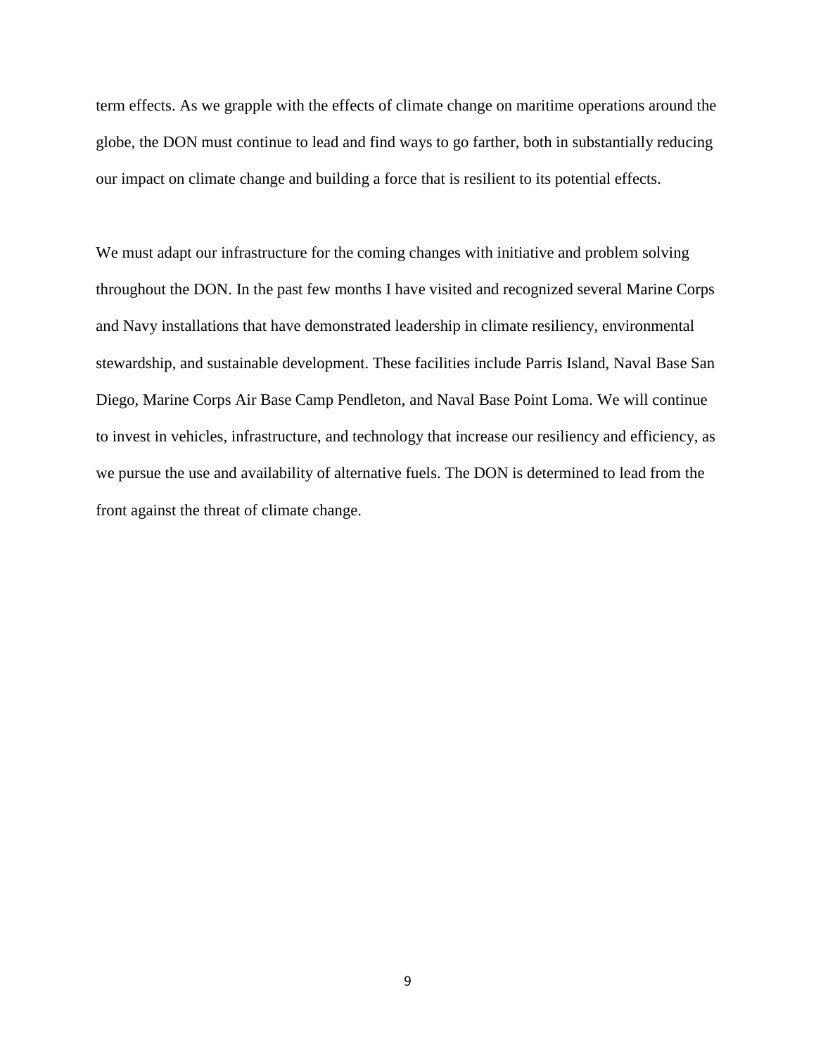term effects. As we grapple with the effects of climate change on maritime operations around the globe, the DON must continue to lead and find ways to go farther, both in substantially reducing our impact on climate change and building a force that is resilient to its potential effects.

We must adapt our infrastructure for the coming changes with initiative and problem solving throughout the DON. In the past few months I have visited and recognized several Marine Corps and Navy installations that have demonstrated leadership in climate resiliency, environmental stewardship, and sustainable development. These facilities include Parris Island, Naval Base San Diego, Marine Corps Air Base Camp Pendleton, and Naval Base Point Loma. We will continue to invest in vehicles, infrastructure, and technology that increase our resiliency and efficiency, as we pursue the use and availability of alternative fuels. The DON is determined to lead from the front against the threat of climate change.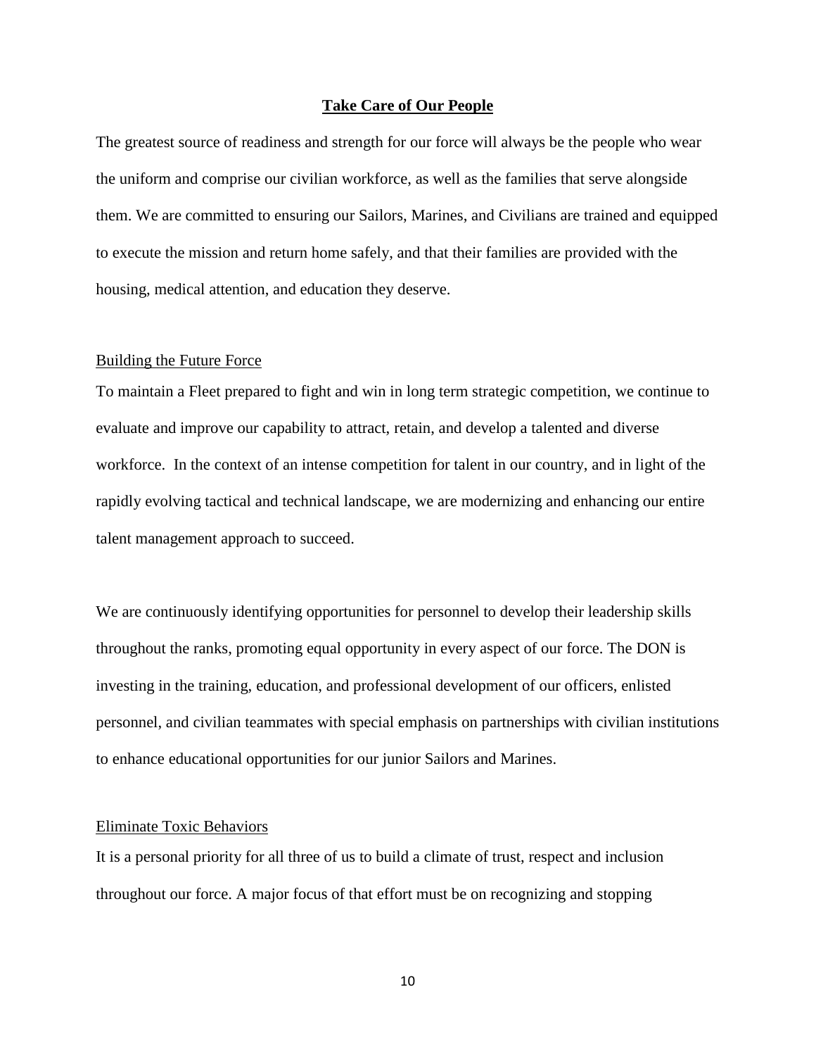#### **Take Care of Our People**

The greatest source of readiness and strength for our force will always be the people who wear the uniform and comprise our civilian workforce, as well as the families that serve alongside them. We are committed to ensuring our Sailors, Marines, and Civilians are trained and equipped to execute the mission and return home safely, and that their families are provided with the housing, medical attention, and education they deserve.

#### Building the Future Force

To maintain a Fleet prepared to fight and win in long term strategic competition, we continue to evaluate and improve our capability to attract, retain, and develop a talented and diverse workforce. In the context of an intense competition for talent in our country, and in light of the rapidly evolving tactical and technical landscape, we are modernizing and enhancing our entire talent management approach to succeed.

We are continuously identifying opportunities for personnel to develop their leadership skills throughout the ranks, promoting equal opportunity in every aspect of our force. The DON is investing in the training, education, and professional development of our officers, enlisted personnel, and civilian teammates with special emphasis on partnerships with civilian institutions to enhance educational opportunities for our junior Sailors and Marines.

#### Eliminate Toxic Behaviors

It is a personal priority for all three of us to build a climate of trust, respect and inclusion throughout our force. A major focus of that effort must be on recognizing and stopping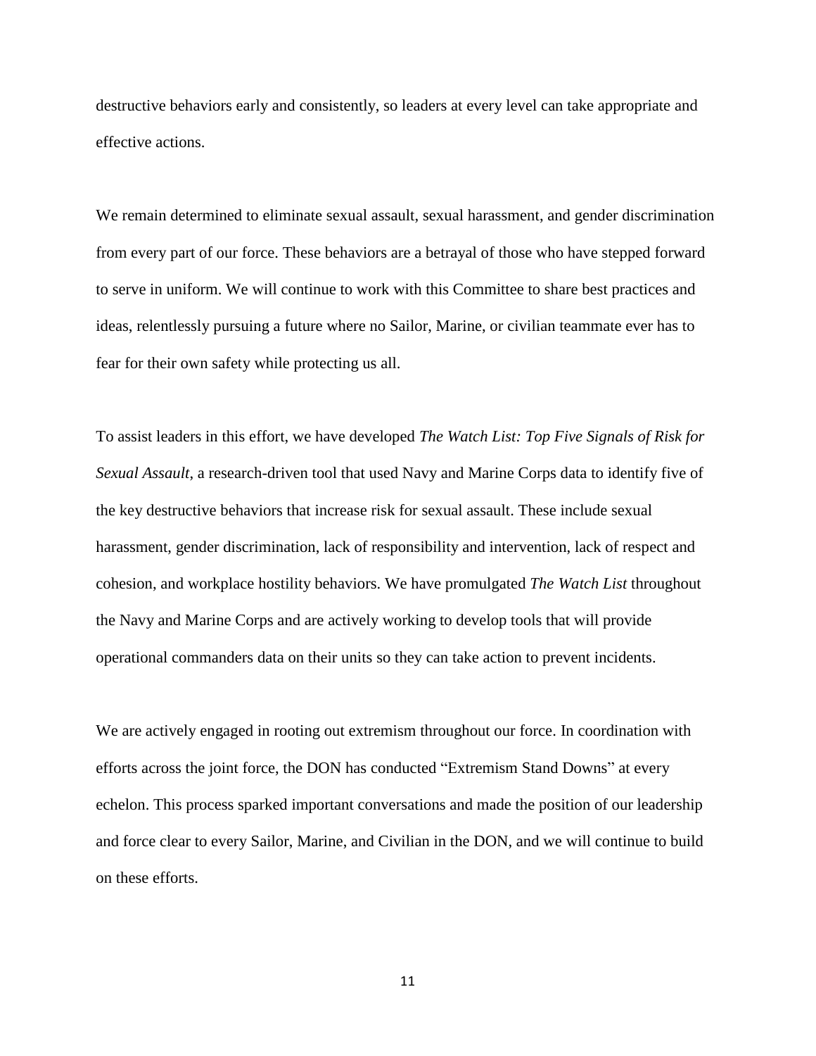destructive behaviors early and consistently, so leaders at every level can take appropriate and effective actions.

We remain determined to eliminate sexual assault, sexual harassment, and gender discrimination from every part of our force. These behaviors are a betrayal of those who have stepped forward to serve in uniform. We will continue to work with this Committee to share best practices and ideas, relentlessly pursuing a future where no Sailor, Marine, or civilian teammate ever has to fear for their own safety while protecting us all.

To assist leaders in this effort, we have developed *The Watch List: Top Five Signals of Risk for Sexual Assault*, a research-driven tool that used Navy and Marine Corps data to identify five of the key destructive behaviors that increase risk for sexual assault. These include sexual harassment, gender discrimination, lack of responsibility and intervention, lack of respect and cohesion, and workplace hostility behaviors. We have promulgated *The Watch List* throughout the Navy and Marine Corps and are actively working to develop tools that will provide operational commanders data on their units so they can take action to prevent incidents.

We are actively engaged in rooting out extremism throughout our force. In coordination with efforts across the joint force, the DON has conducted "Extremism Stand Downs" at every echelon. This process sparked important conversations and made the position of our leadership and force clear to every Sailor, Marine, and Civilian in the DON, and we will continue to build on these efforts.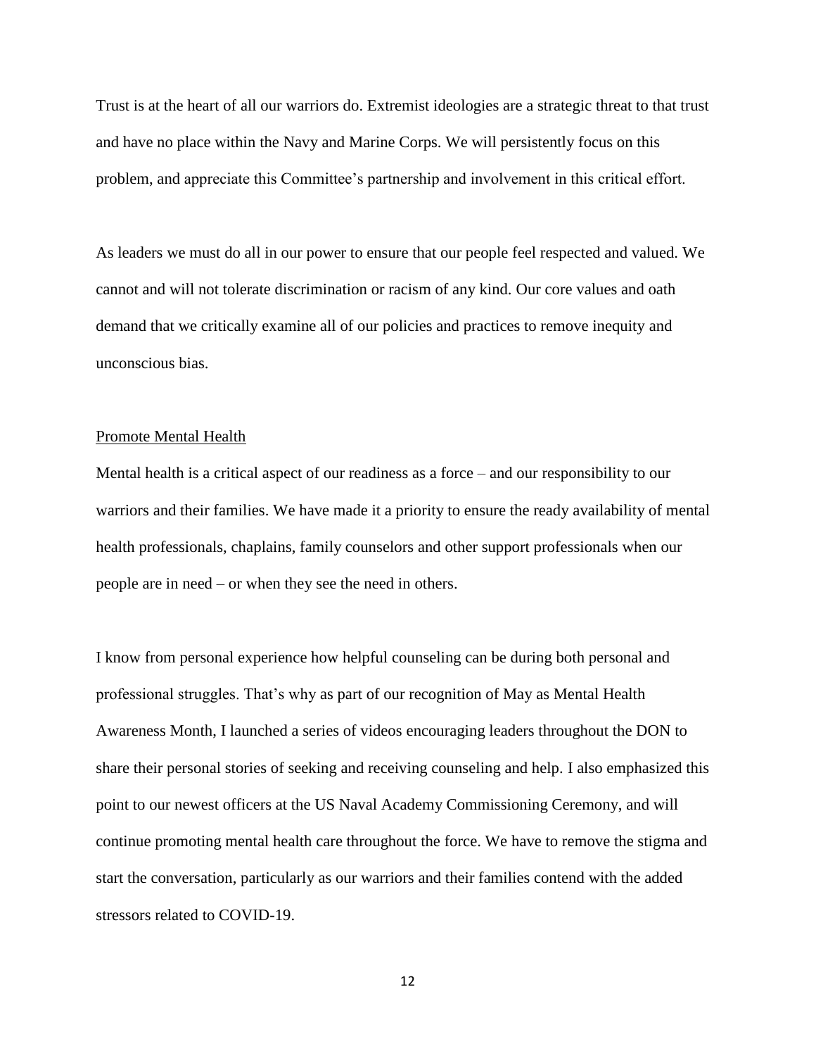Trust is at the heart of all our warriors do. Extremist ideologies are a strategic threat to that trust and have no place within the Navy and Marine Corps. We will persistently focus on this problem, and appreciate this Committee's partnership and involvement in this critical effort.

As leaders we must do all in our power to ensure that our people feel respected and valued. We cannot and will not tolerate discrimination or racism of any kind. Our core values and oath demand that we critically examine all of our policies and practices to remove inequity and unconscious bias.

#### Promote Mental Health

Mental health is a critical aspect of our readiness as a force – and our responsibility to our warriors and their families. We have made it a priority to ensure the ready availability of mental health professionals, chaplains, family counselors and other support professionals when our people are in need – or when they see the need in others.

I know from personal experience how helpful counseling can be during both personal and professional struggles. That's why as part of our recognition of May as Mental Health Awareness Month, I launched a series of videos encouraging leaders throughout the DON to share their personal stories of seeking and receiving counseling and help. I also emphasized this point to our newest officers at the US Naval Academy Commissioning Ceremony, and will continue promoting mental health care throughout the force. We have to remove the stigma and start the conversation, particularly as our warriors and their families contend with the added stressors related to COVID-19.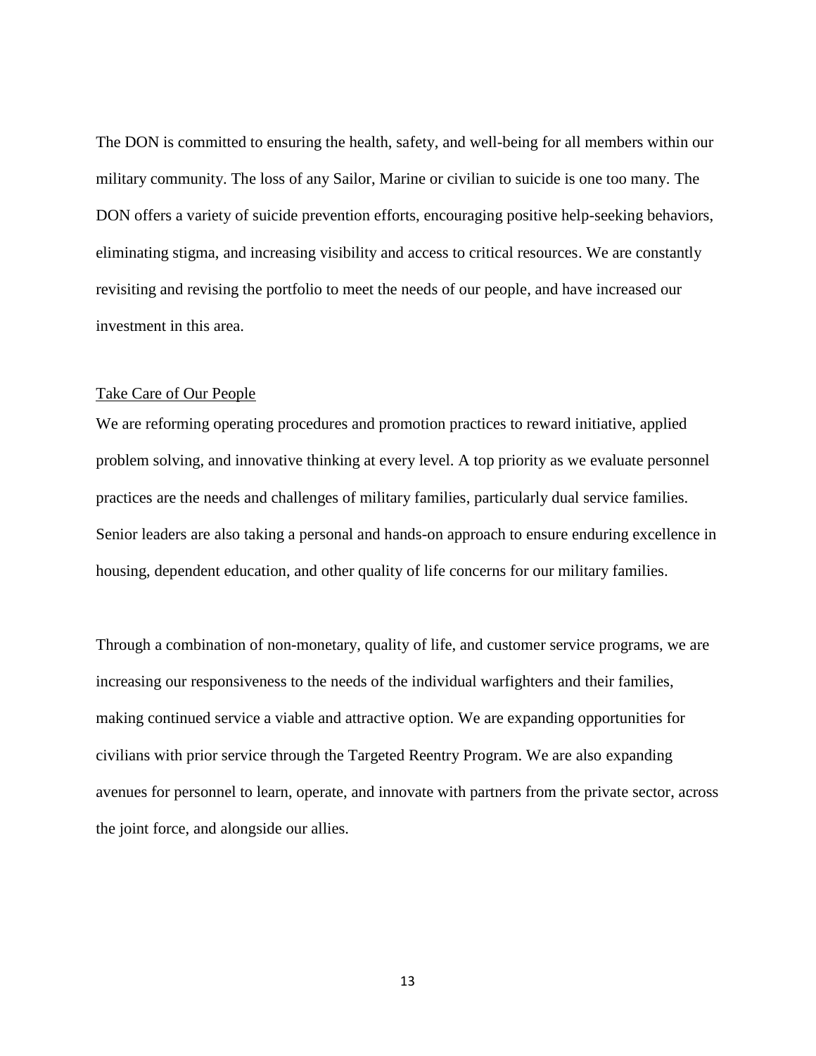The DON is committed to ensuring the health, safety, and well-being for all members within our military community. The loss of any Sailor, Marine or civilian to suicide is one too many. The DON offers a variety of suicide prevention efforts, encouraging positive help-seeking behaviors, eliminating stigma, and increasing visibility and access to critical resources. We are constantly revisiting and revising the portfolio to meet the needs of our people, and have increased our investment in this area.

#### Take Care of Our People

We are reforming operating procedures and promotion practices to reward initiative, applied problem solving, and innovative thinking at every level. A top priority as we evaluate personnel practices are the needs and challenges of military families, particularly dual service families. Senior leaders are also taking a personal and hands-on approach to ensure enduring excellence in housing, dependent education, and other quality of life concerns for our military families.

Through a combination of non-monetary, quality of life, and customer service programs, we are increasing our responsiveness to the needs of the individual warfighters and their families, making continued service a viable and attractive option. We are expanding opportunities for civilians with prior service through the Targeted Reentry Program. We are also expanding avenues for personnel to learn, operate, and innovate with partners from the private sector, across the joint force, and alongside our allies.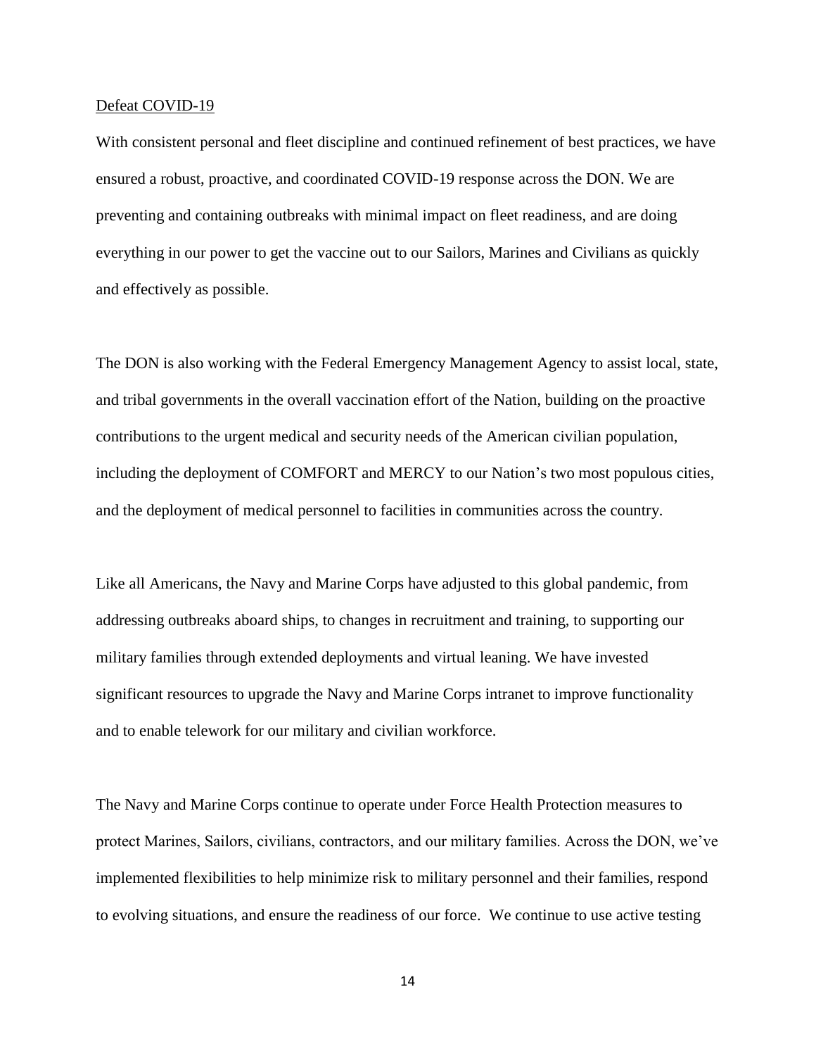#### Defeat COVID-19

With consistent personal and fleet discipline and continued refinement of best practices, we have ensured a robust, proactive, and coordinated COVID-19 response across the DON. We are preventing and containing outbreaks with minimal impact on fleet readiness, and are doing everything in our power to get the vaccine out to our Sailors, Marines and Civilians as quickly and effectively as possible.

The DON is also working with the Federal Emergency Management Agency to assist local, state, and tribal governments in the overall vaccination effort of the Nation, building on the proactive contributions to the urgent medical and security needs of the American civilian population, including the deployment of COMFORT and MERCY to our Nation's two most populous cities, and the deployment of medical personnel to facilities in communities across the country.

Like all Americans, the Navy and Marine Corps have adjusted to this global pandemic, from addressing outbreaks aboard ships, to changes in recruitment and training, to supporting our military families through extended deployments and virtual leaning. We have invested significant resources to upgrade the Navy and Marine Corps intranet to improve functionality and to enable telework for our military and civilian workforce.

The Navy and Marine Corps continue to operate under Force Health Protection measures to protect Marines, Sailors, civilians, contractors, and our military families. Across the DON, we've implemented flexibilities to help minimize risk to military personnel and their families, respond to evolving situations, and ensure the readiness of our force. We continue to use active testing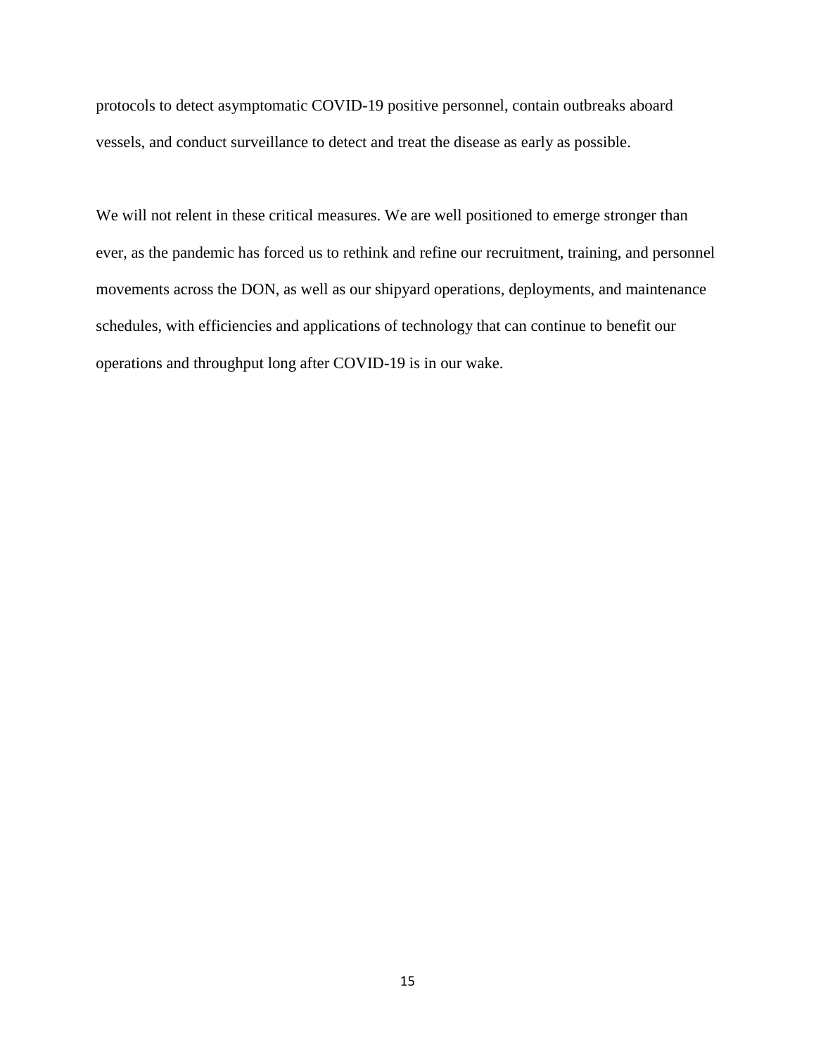protocols to detect asymptomatic COVID-19 positive personnel, contain outbreaks aboard vessels, and conduct surveillance to detect and treat the disease as early as possible.

We will not relent in these critical measures. We are well positioned to emerge stronger than ever, as the pandemic has forced us to rethink and refine our recruitment, training, and personnel movements across the DON, as well as our shipyard operations, deployments, and maintenance schedules, with efficiencies and applications of technology that can continue to benefit our operations and throughput long after COVID-19 is in our wake.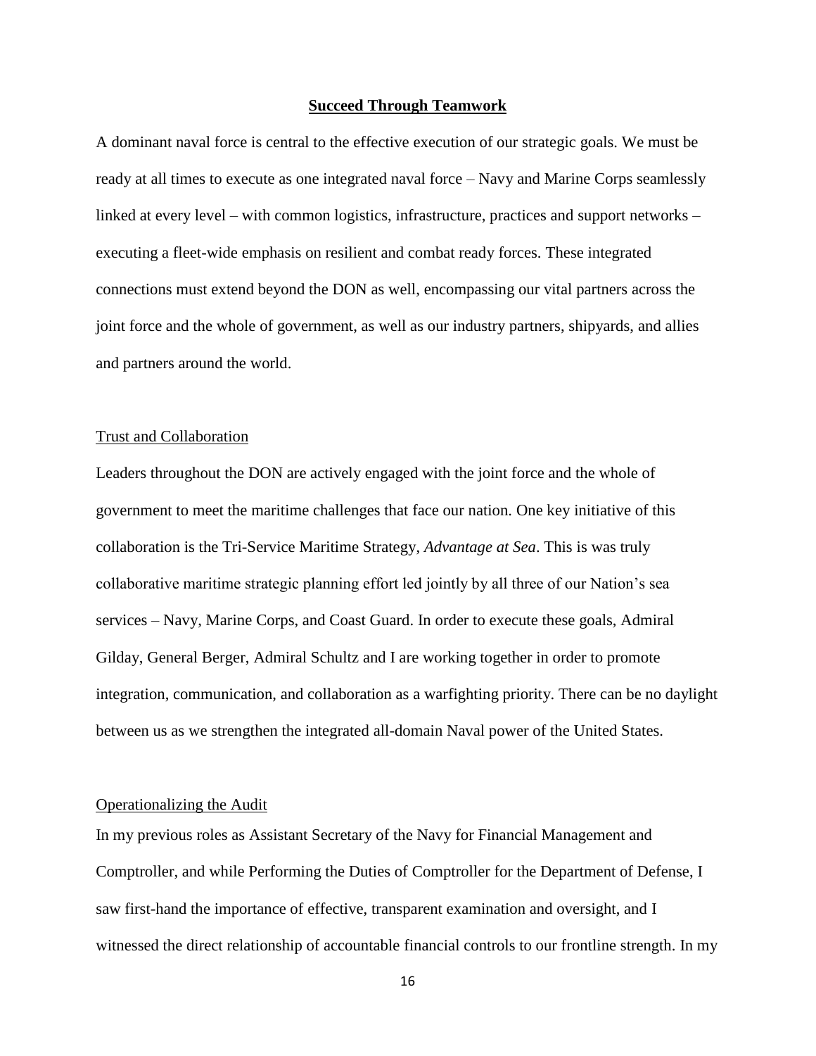#### **Succeed Through Teamwork**

A dominant naval force is central to the effective execution of our strategic goals. We must be ready at all times to execute as one integrated naval force – Navy and Marine Corps seamlessly linked at every level – with common logistics, infrastructure, practices and support networks – executing a fleet-wide emphasis on resilient and combat ready forces. These integrated connections must extend beyond the DON as well, encompassing our vital partners across the joint force and the whole of government, as well as our industry partners, shipyards, and allies and partners around the world.

#### Trust and Collaboration

Leaders throughout the DON are actively engaged with the joint force and the whole of government to meet the maritime challenges that face our nation. One key initiative of this collaboration is the Tri-Service Maritime Strategy, *Advantage at Sea*. This is was truly collaborative maritime strategic planning effort led jointly by all three of our Nation's sea services – Navy, Marine Corps, and Coast Guard. In order to execute these goals, Admiral Gilday, General Berger, Admiral Schultz and I are working together in order to promote integration, communication, and collaboration as a warfighting priority. There can be no daylight between us as we strengthen the integrated all-domain Naval power of the United States.

#### Operationalizing the Audit

In my previous roles as Assistant Secretary of the Navy for Financial Management and Comptroller, and while Performing the Duties of Comptroller for the Department of Defense, I saw first-hand the importance of effective, transparent examination and oversight, and I witnessed the direct relationship of accountable financial controls to our frontline strength. In my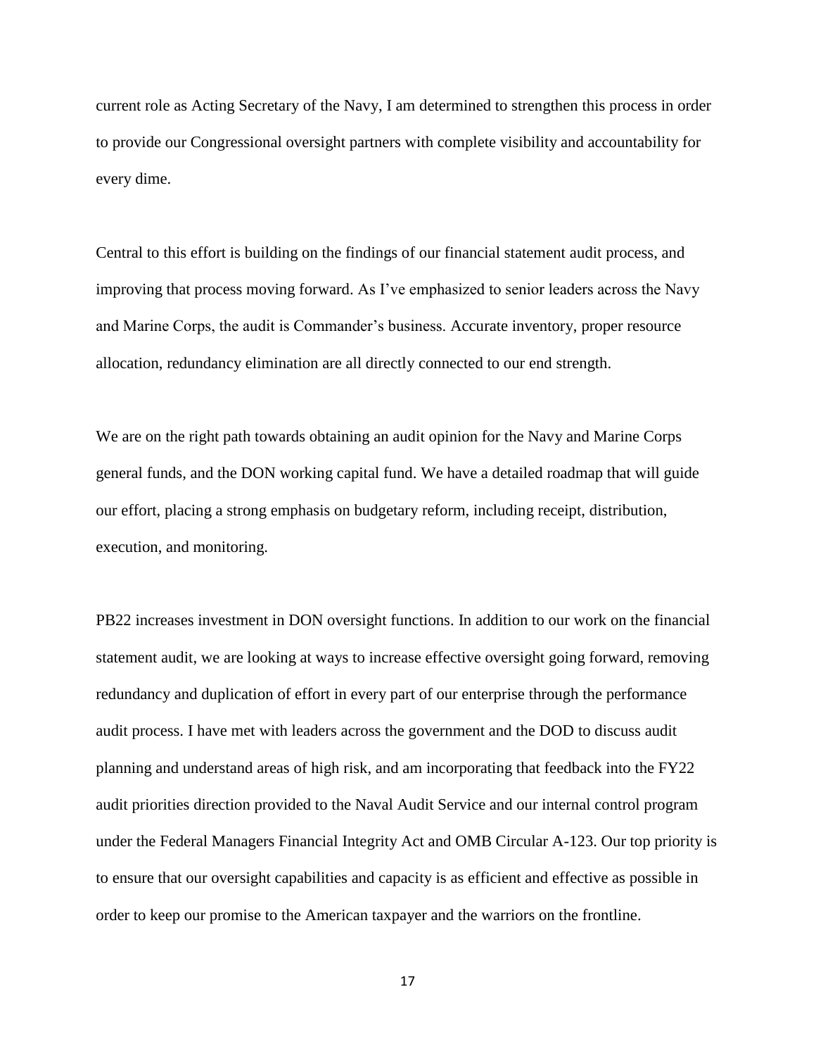current role as Acting Secretary of the Navy, I am determined to strengthen this process in order to provide our Congressional oversight partners with complete visibility and accountability for every dime.

Central to this effort is building on the findings of our financial statement audit process, and improving that process moving forward. As I've emphasized to senior leaders across the Navy and Marine Corps, the audit is Commander's business. Accurate inventory, proper resource allocation, redundancy elimination are all directly connected to our end strength.

We are on the right path towards obtaining an audit opinion for the Navy and Marine Corps general funds, and the DON working capital fund. We have a detailed roadmap that will guide our effort, placing a strong emphasis on budgetary reform, including receipt, distribution, execution, and monitoring.

PB22 increases investment in DON oversight functions. In addition to our work on the financial statement audit, we are looking at ways to increase effective oversight going forward, removing redundancy and duplication of effort in every part of our enterprise through the performance audit process. I have met with leaders across the government and the DOD to discuss audit planning and understand areas of high risk, and am incorporating that feedback into the FY22 audit priorities direction provided to the Naval Audit Service and our internal control program under the Federal Managers Financial Integrity Act and OMB Circular A-123. Our top priority is to ensure that our oversight capabilities and capacity is as efficient and effective as possible in order to keep our promise to the American taxpayer and the warriors on the frontline.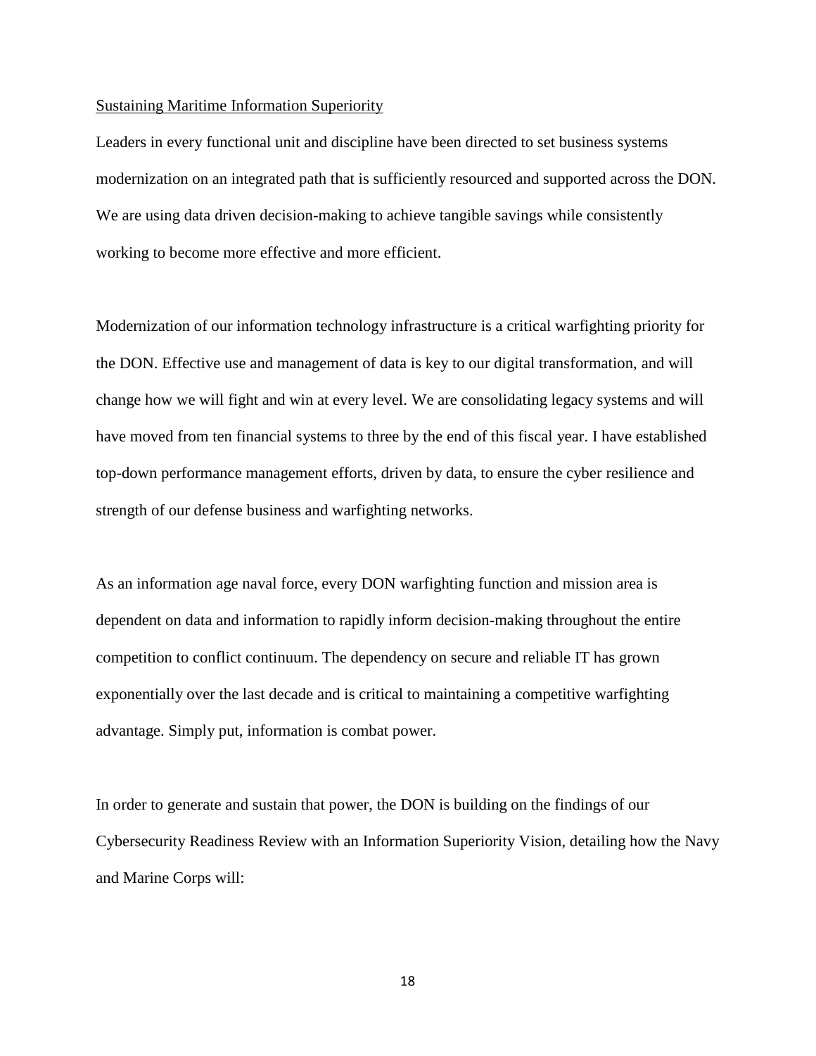#### Sustaining Maritime Information Superiority

Leaders in every functional unit and discipline have been directed to set business systems modernization on an integrated path that is sufficiently resourced and supported across the DON. We are using data driven decision-making to achieve tangible savings while consistently working to become more effective and more efficient.

Modernization of our information technology infrastructure is a critical warfighting priority for the DON. Effective use and management of data is key to our digital transformation, and will change how we will fight and win at every level. We are consolidating legacy systems and will have moved from ten financial systems to three by the end of this fiscal year. I have established top-down performance management efforts, driven by data, to ensure the cyber resilience and strength of our defense business and warfighting networks.

As an information age naval force, every DON warfighting function and mission area is dependent on data and information to rapidly inform decision-making throughout the entire competition to conflict continuum. The dependency on secure and reliable IT has grown exponentially over the last decade and is critical to maintaining a competitive warfighting advantage. Simply put, information is combat power.

In order to generate and sustain that power, the DON is building on the findings of our Cybersecurity Readiness Review with an Information Superiority Vision, detailing how the Navy and Marine Corps will: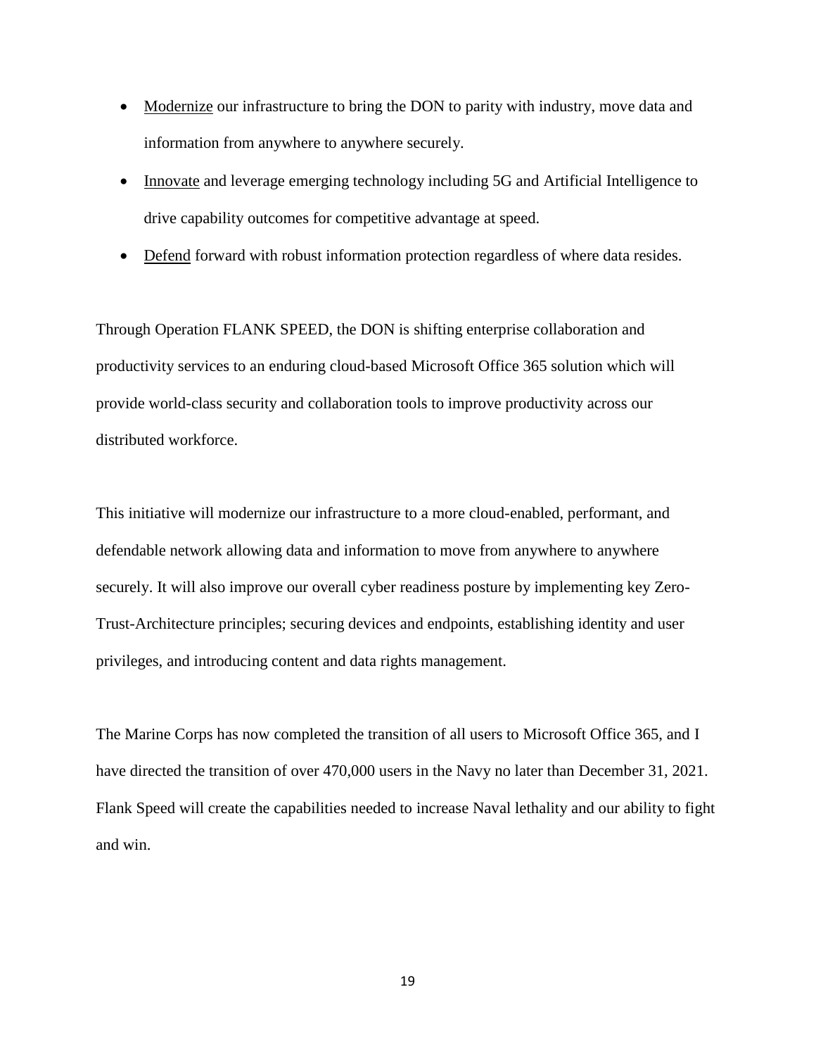- Modernize our infrastructure to bring the DON to parity with industry, move data and information from anywhere to anywhere securely.
- Innovate and leverage emerging technology including 5G and Artificial Intelligence to drive capability outcomes for competitive advantage at speed.
- Defend forward with robust information protection regardless of where data resides.

Through Operation FLANK SPEED, the DON is shifting enterprise collaboration and productivity services to an enduring cloud-based Microsoft Office 365 solution which will provide world-class security and collaboration tools to improve productivity across our distributed workforce.

This initiative will modernize our infrastructure to a more cloud-enabled, performant, and defendable network allowing data and information to move from anywhere to anywhere securely. It will also improve our overall cyber readiness posture by implementing key Zero-Trust-Architecture principles; securing devices and endpoints, establishing identity and user privileges, and introducing content and data rights management.

The Marine Corps has now completed the transition of all users to Microsoft Office 365, and I have directed the transition of over 470,000 users in the Navy no later than December 31, 2021. Flank Speed will create the capabilities needed to increase Naval lethality and our ability to fight and win.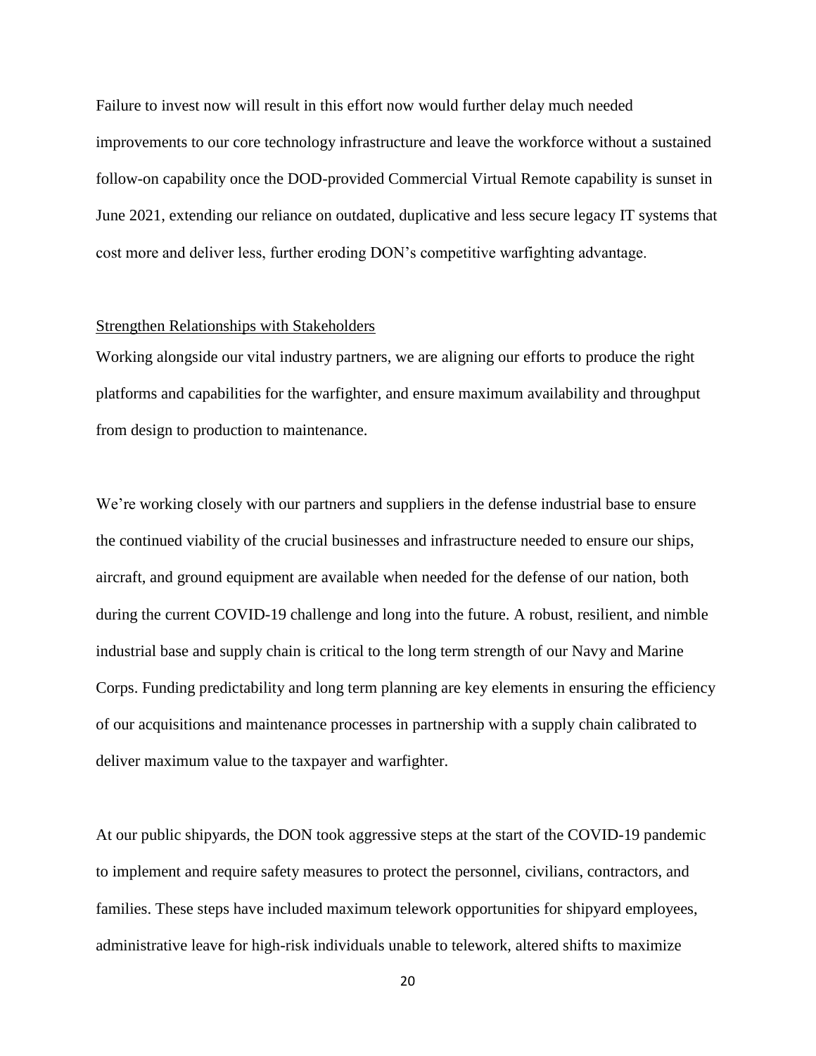Failure to invest now will result in this effort now would further delay much needed improvements to our core technology infrastructure and leave the workforce without a sustained follow-on capability once the DOD-provided Commercial Virtual Remote capability is sunset in June 2021, extending our reliance on outdated, duplicative and less secure legacy IT systems that cost more and deliver less, further eroding DON's competitive warfighting advantage.

#### Strengthen Relationships with Stakeholders

Working alongside our vital industry partners, we are aligning our efforts to produce the right platforms and capabilities for the warfighter, and ensure maximum availability and throughput from design to production to maintenance.

We're working closely with our partners and suppliers in the defense industrial base to ensure the continued viability of the crucial businesses and infrastructure needed to ensure our ships, aircraft, and ground equipment are available when needed for the defense of our nation, both during the current COVID-19 challenge and long into the future. A robust, resilient, and nimble industrial base and supply chain is critical to the long term strength of our Navy and Marine Corps. Funding predictability and long term planning are key elements in ensuring the efficiency of our acquisitions and maintenance processes in partnership with a supply chain calibrated to deliver maximum value to the taxpayer and warfighter.

At our public shipyards, the DON took aggressive steps at the start of the COVID-19 pandemic to implement and require safety measures to protect the personnel, civilians, contractors, and families. These steps have included maximum telework opportunities for shipyard employees, administrative leave for high-risk individuals unable to telework, altered shifts to maximize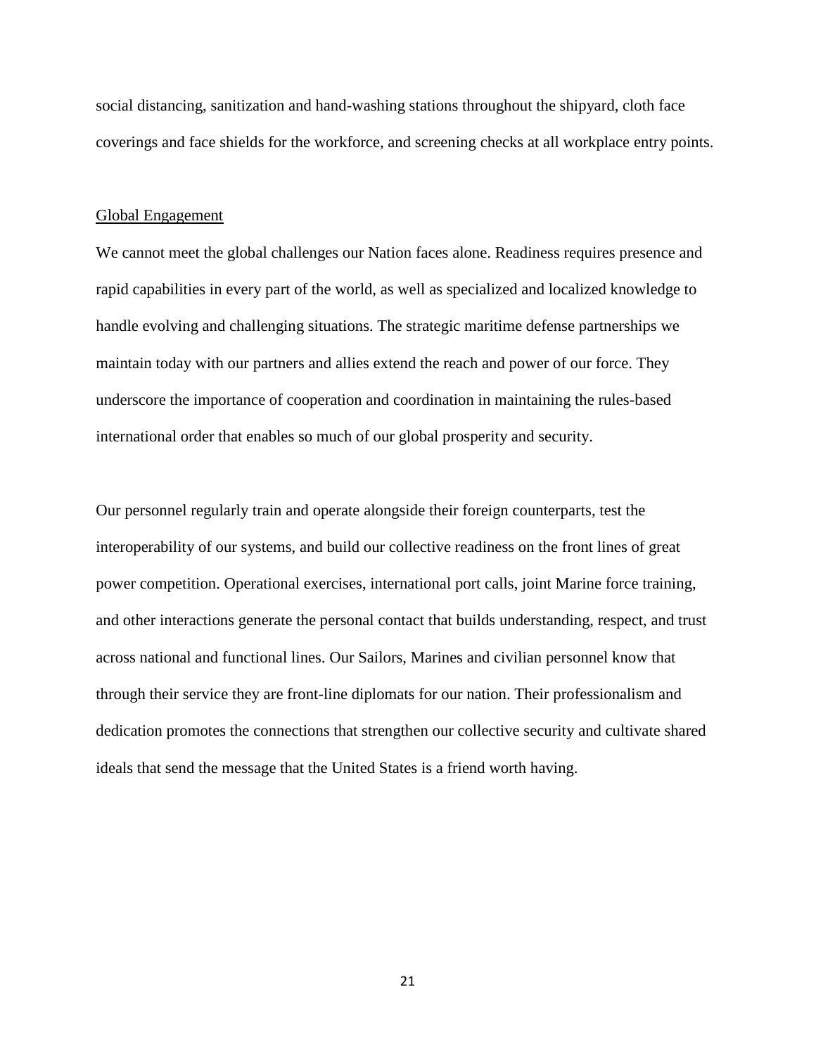social distancing, sanitization and hand-washing stations throughout the shipyard, cloth face coverings and face shields for the workforce, and screening checks at all workplace entry points.

#### Global Engagement

We cannot meet the global challenges our Nation faces alone. Readiness requires presence and rapid capabilities in every part of the world, as well as specialized and localized knowledge to handle evolving and challenging situations. The strategic maritime defense partnerships we maintain today with our partners and allies extend the reach and power of our force. They underscore the importance of cooperation and coordination in maintaining the rules-based international order that enables so much of our global prosperity and security.

Our personnel regularly train and operate alongside their foreign counterparts, test the interoperability of our systems, and build our collective readiness on the front lines of great power competition. Operational exercises, international port calls, joint Marine force training, and other interactions generate the personal contact that builds understanding, respect, and trust across national and functional lines. Our Sailors, Marines and civilian personnel know that through their service they are front-line diplomats for our nation. Their professionalism and dedication promotes the connections that strengthen our collective security and cultivate shared ideals that send the message that the United States is a friend worth having.